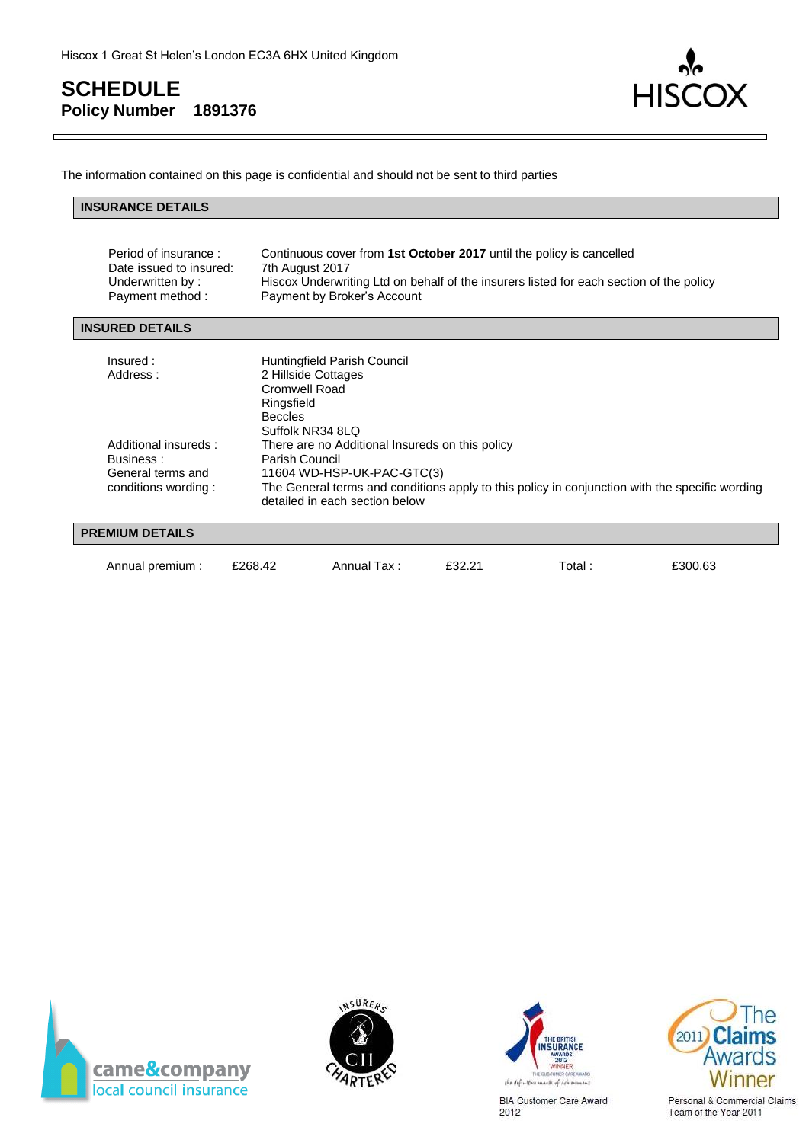

The information contained on this page is confidential and should not be sent to third parties

#### **INSURANCE DETAILS**

| Period of insurance :<br>Date issued to insured:<br>Underwritten by:<br>Payment method: | Continuous cover from 1st October 2017 until the policy is cancelled<br>7th August 2017<br>Hiscox Underwriting Ltd on behalf of the insurers listed for each section of the policy<br>Payment by Broker's Account                   |
|-----------------------------------------------------------------------------------------|-------------------------------------------------------------------------------------------------------------------------------------------------------------------------------------------------------------------------------------|
| <b>INSURED DETAILS</b>                                                                  |                                                                                                                                                                                                                                     |
| Insured:<br>Address:                                                                    | Huntingfield Parish Council<br>2 Hillside Cottages<br>Cromwell Road<br>Ringsfield<br><b>Beccles</b><br>Suffolk NR34 8LQ                                                                                                             |
| Additional insureds:<br>Business:<br>General terms and<br>conditions wording:           | There are no Additional Insureds on this policy<br>Parish Council<br>11604 WD-HSP-UK-PAC-GTC(3)<br>The General terms and conditions apply to this policy in conjunction with the specific wording<br>detailed in each section below |

#### **PREMIUM DETAILS**

| Annual premium: | £268.42 | Annual Tax: | £32.21 | Total. | £300.63 |
|-----------------|---------|-------------|--------|--------|---------|
|                 |         |             |        |        |         |







**BIA Customer Care Award** 2012



Personal & Commercial Claims Team of the Year 2011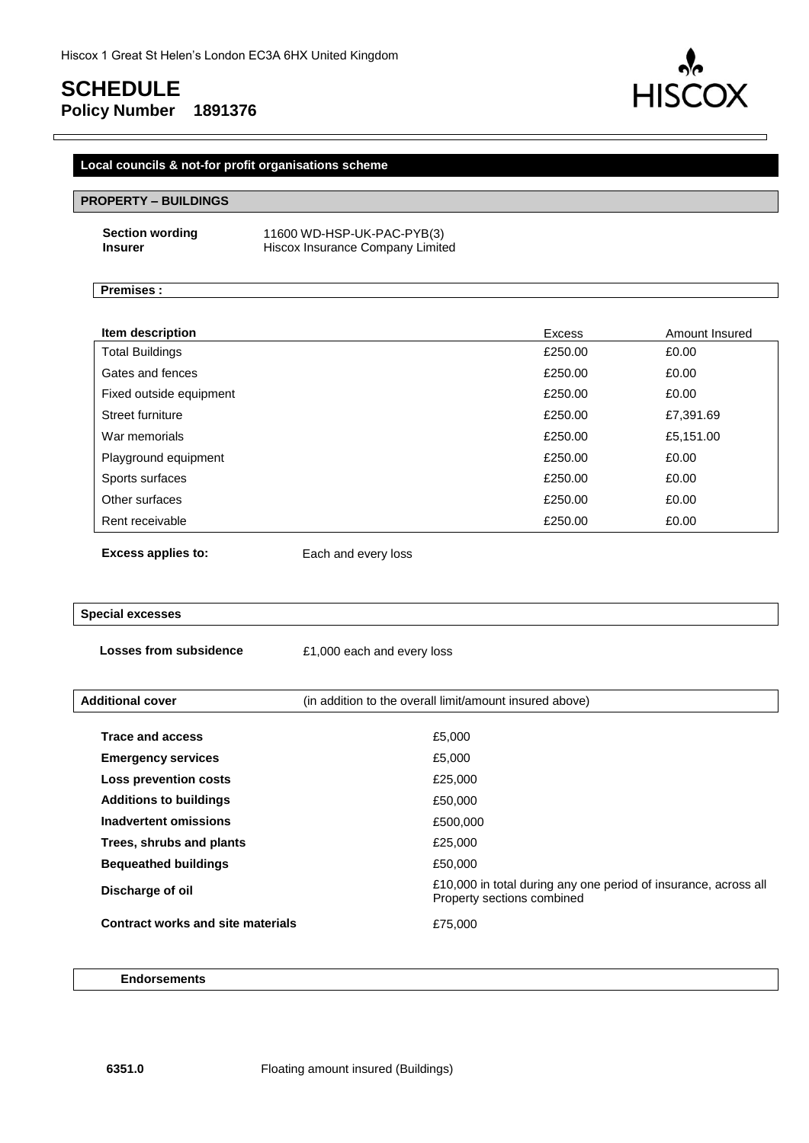# **SCHEDULE**

**HIS** 

# **Policy Number 1891376**

### **Local councils & not-for profit organisations scheme**

#### **PROPERTY – BUILDINGS**

| <b>Section wording</b> | 11600 WD-HSP-UK-PAC-PYB(3)       |
|------------------------|----------------------------------|
| <b>Insurer</b>         | Hiscox Insurance Company Limited |

#### **Premises :**

| Item description        | Excess  | Amount Insured |
|-------------------------|---------|----------------|
| <b>Total Buildings</b>  | £250.00 | £0.00          |
| Gates and fences        | £250.00 | £0.00          |
| Fixed outside equipment | £250.00 | £0.00          |
| Street furniture        | £250.00 | £7,391.69      |
| War memorials           | £250.00 | £5,151.00      |
| Playground equipment    | £250.00 | £0.00          |
| Sports surfaces         | £250.00 | £0.00          |
| Other surfaces          | £250.00 | £0.00          |
| Rent receivable         | £250.00 | £0.00          |
|                         |         |                |

**Excess applies to:** Each and every loss

#### **Special excesses**

**Losses from subsidence**  $£1,000$  each and every loss

| <b>Additional cover</b>                  | (in addition to the overall limit/amount insured above)                                       |
|------------------------------------------|-----------------------------------------------------------------------------------------------|
| <b>Trace and access</b>                  | £5,000                                                                                        |
|                                          |                                                                                               |
| <b>Emergency services</b>                | £5,000                                                                                        |
| Loss prevention costs                    | £25,000                                                                                       |
| <b>Additions to buildings</b>            | £50,000                                                                                       |
| <b>Inadvertent omissions</b>             | £500,000                                                                                      |
| Trees, shrubs and plants                 | £25,000                                                                                       |
| <b>Bequeathed buildings</b>              | £50,000                                                                                       |
| Discharge of oil                         | £10,000 in total during any one period of insurance, across all<br>Property sections combined |
| <b>Contract works and site materials</b> | £75,000                                                                                       |

#### **Endorsements**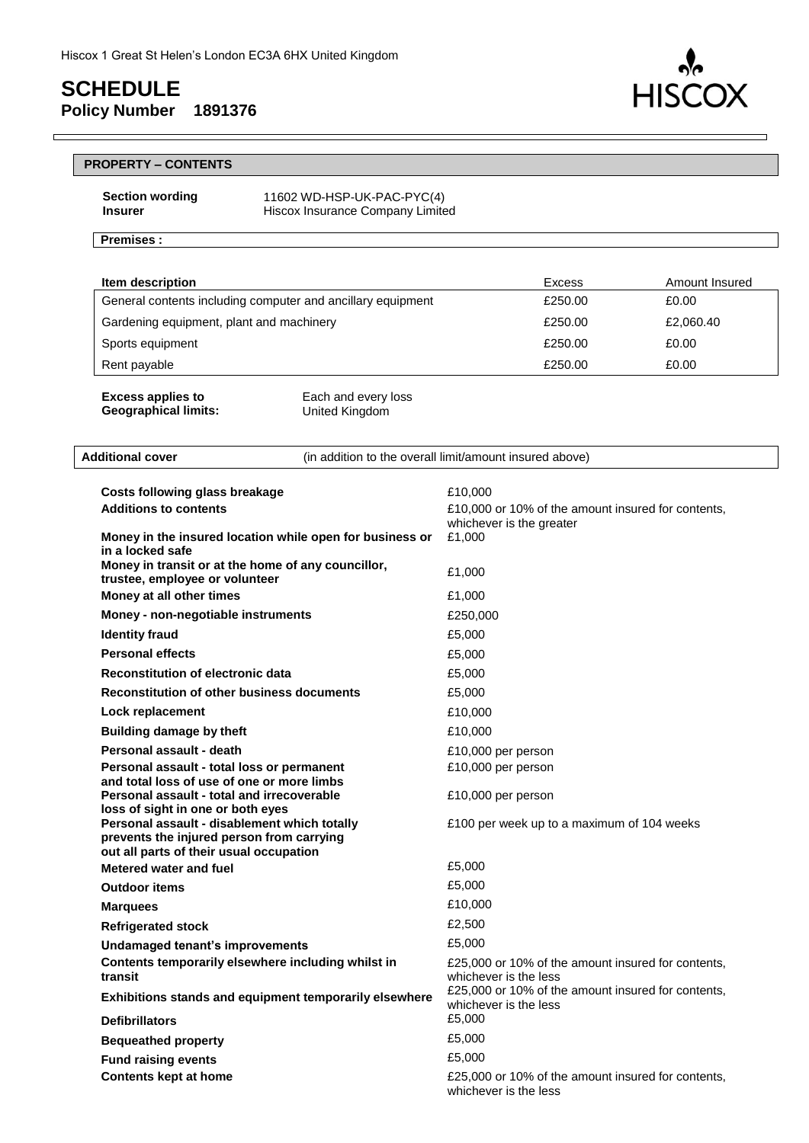

|                | <b>Section wording</b> |
|----------------|------------------------|
| <b>Insurer</b> |                        |

**Section wording** 11602 WD-HSP-UK-PAC-PYC(4) **Hiscox Insurance Company Limited** 

#### **Premises :**

 $\mathsf{r}$ 

| Item description                                            | Excess  | Amount Insured |
|-------------------------------------------------------------|---------|----------------|
| General contents including computer and ancillary equipment | £250.00 | £0.00          |
| Gardening equipment, plant and machinery                    | £250.00 | £2,060.40      |
| Sports equipment                                            | £250.00 | £0.00          |
| Rent payable                                                | £250.00 | £0.00          |
|                                                             |         |                |

**HIS** 

**OX** 

| <b>Excess applies to</b>    | Each and every loss |
|-----------------------------|---------------------|
| <b>Geographical limits:</b> | United Kingdom      |

| <b>Additional cover</b>                                                                                                              | (in addition to the overall limit/amount insured above)                                             |
|--------------------------------------------------------------------------------------------------------------------------------------|-----------------------------------------------------------------------------------------------------|
| <b>Costs following glass breakage</b><br><b>Additions to contents</b><br>Money in the insured location while open for business or    | £10,000<br>£10,000 or 10% of the amount insured for contents,<br>whichever is the greater<br>£1,000 |
| in a locked safe<br>Money in transit or at the home of any councillor,<br>trustee, employee or volunteer                             | £1,000                                                                                              |
| Money at all other times                                                                                                             | £1,000                                                                                              |
| Money - non-negotiable instruments                                                                                                   | £250,000                                                                                            |
| <b>Identity fraud</b>                                                                                                                | £5,000                                                                                              |
| <b>Personal effects</b>                                                                                                              | £5,000                                                                                              |
| <b>Reconstitution of electronic data</b>                                                                                             | £5,000                                                                                              |
| <b>Reconstitution of other business documents</b>                                                                                    | £5,000                                                                                              |
| Lock replacement                                                                                                                     | £10,000                                                                                             |
| <b>Building damage by theft</b>                                                                                                      | £10,000                                                                                             |
| Personal assault - death                                                                                                             | £10,000 per person                                                                                  |
| Personal assault - total loss or permanent                                                                                           | £10,000 per person                                                                                  |
| and total loss of use of one or more limbs<br>Personal assault - total and irrecoverable<br>loss of sight in one or both eyes        | £10,000 per person                                                                                  |
| Personal assault - disablement which totally<br>prevents the injured person from carrying<br>out all parts of their usual occupation | £100 per week up to a maximum of 104 weeks                                                          |
| Metered water and fuel                                                                                                               | £5,000                                                                                              |
| <b>Outdoor items</b>                                                                                                                 | £5,000                                                                                              |
| <b>Marquees</b>                                                                                                                      | £10,000                                                                                             |
| <b>Refrigerated stock</b>                                                                                                            | £2,500                                                                                              |
| <b>Undamaged tenant's improvements</b>                                                                                               | £5,000                                                                                              |
| Contents temporarily elsewhere including whilst in<br>transit                                                                        | £25,000 or 10% of the amount insured for contents,<br>whichever is the less                         |
| Exhibitions stands and equipment temporarily elsewhere                                                                               | £25,000 or 10% of the amount insured for contents,<br>whichever is the less                         |
| <b>Defibrillators</b>                                                                                                                | £5,000                                                                                              |
| <b>Bequeathed property</b>                                                                                                           | £5,000                                                                                              |
| <b>Fund raising events</b>                                                                                                           | £5,000                                                                                              |
| <b>Contents kept at home</b>                                                                                                         | £25,000 or 10% of the amount insured for contents,<br>whichever is the less                         |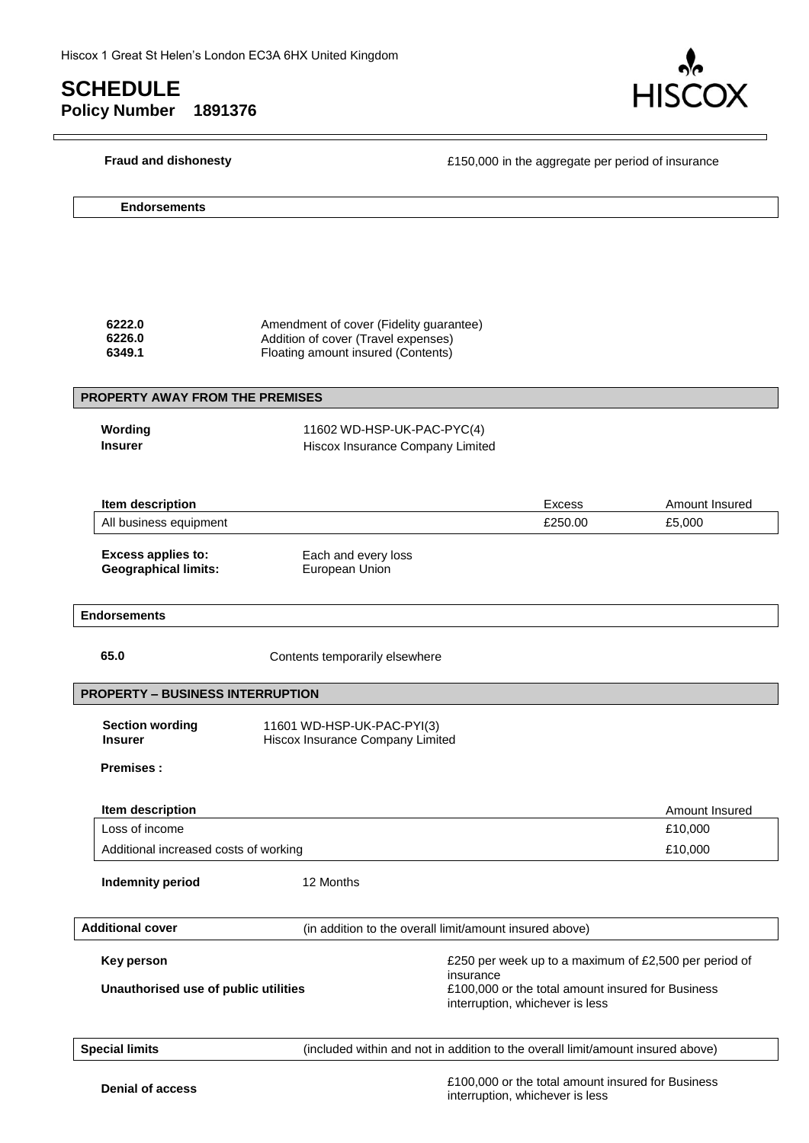$\Box$ 



┑

| <b>Fraud and dishonesty</b>                              | £150,000 in the aggregate per period of insurance                                                                    |                                                                                      |                |
|----------------------------------------------------------|----------------------------------------------------------------------------------------------------------------------|--------------------------------------------------------------------------------------|----------------|
| <b>Endorsements</b>                                      |                                                                                                                      |                                                                                      |                |
|                                                          |                                                                                                                      |                                                                                      |                |
| 6222.0<br>6226.0<br>6349.1                               | Amendment of cover (Fidelity guarantee)<br>Addition of cover (Travel expenses)<br>Floating amount insured (Contents) |                                                                                      |                |
| <b>PROPERTY AWAY FROM THE PREMISES</b>                   |                                                                                                                      |                                                                                      |                |
| Wording<br><b>Insurer</b>                                | 11602 WD-HSP-UK-PAC-PYC(4)<br>Hiscox Insurance Company Limited                                                       |                                                                                      |                |
| Item description                                         |                                                                                                                      | Excess                                                                               | Amount Insured |
| All business equipment                                   |                                                                                                                      | £250.00                                                                              | £5,000         |
| <b>Excess applies to:</b><br><b>Geographical limits:</b> | Each and every loss<br>European Union                                                                                |                                                                                      |                |
| <b>Endorsements</b>                                      |                                                                                                                      |                                                                                      |                |
| 65.0                                                     | Contents temporarily elsewhere                                                                                       |                                                                                      |                |
| <b>PROPERTY - BUSINESS INTERRUPTION</b>                  |                                                                                                                      |                                                                                      |                |
| <b>Section wording</b><br><b>Insurer</b>                 | 11601 WD-HSP-UK-PAC-PYI(3)<br>Hiscox Insurance Company Limited                                                       |                                                                                      |                |
| <b>Premises:</b>                                         |                                                                                                                      |                                                                                      |                |
| Item description                                         |                                                                                                                      |                                                                                      | Amount Insured |
| Loss of income                                           |                                                                                                                      |                                                                                      | £10,000        |
| Additional increased costs of working                    |                                                                                                                      |                                                                                      | £10,000        |
| <b>Indemnity period</b>                                  | 12 Months                                                                                                            |                                                                                      |                |
| <b>Additional cover</b>                                  |                                                                                                                      | (in addition to the overall limit/amount insured above)                              |                |
| <b>Key person</b>                                        |                                                                                                                      | £250 per week up to a maximum of £2,500 per period of<br>insurance                   |                |
| Unauthorised use of public utilities                     |                                                                                                                      | £100,000 or the total amount insured for Business<br>interruption, whichever is less |                |
| <b>Special limits</b>                                    |                                                                                                                      | (included within and not in addition to the overall limit/amount insured above)      |                |

**Denial of access E100,000** or the total amount insured for Business **Denial of access** interruption, whichever is less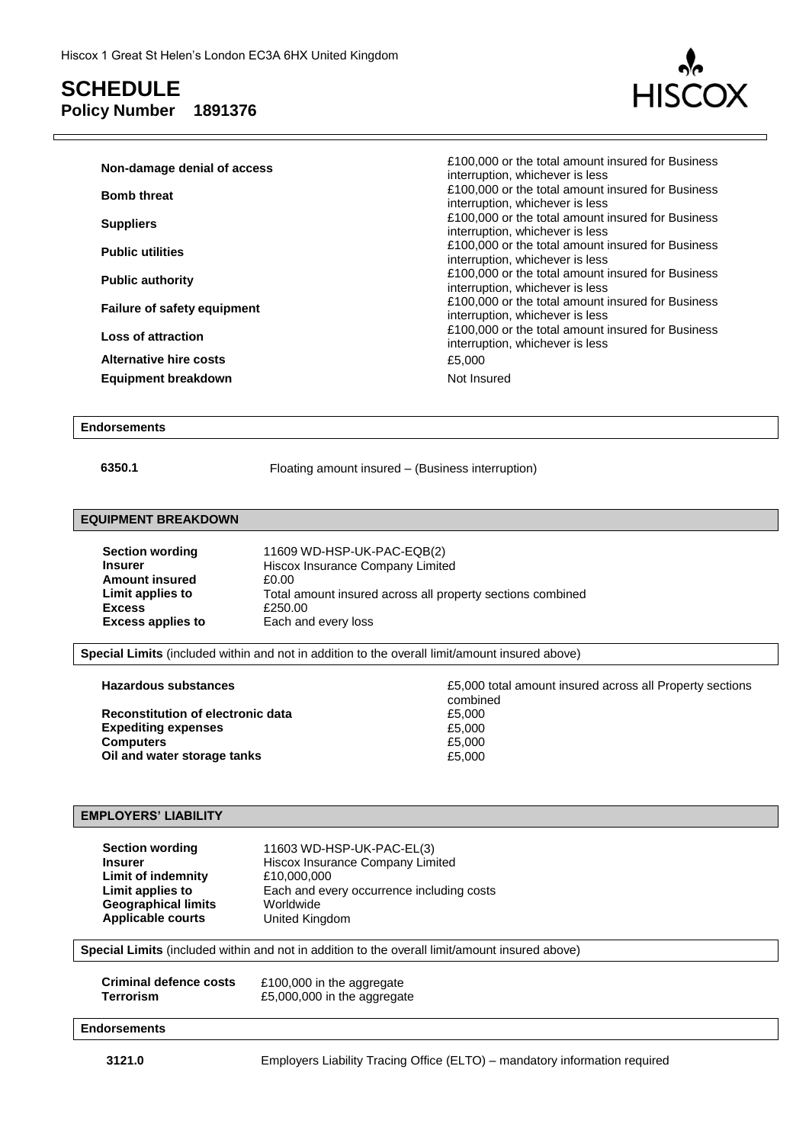

| Non-damage denial of access        | £100,000 or the total amount insured for Business<br>interruption, whichever is less |
|------------------------------------|--------------------------------------------------------------------------------------|
| <b>Bomb threat</b>                 | £100,000 or the total amount insured for Business<br>interruption, whichever is less |
| <b>Suppliers</b>                   | £100,000 or the total amount insured for Business<br>interruption, whichever is less |
| <b>Public utilities</b>            | £100,000 or the total amount insured for Business<br>interruption, whichever is less |
| <b>Public authority</b>            | £100,000 or the total amount insured for Business<br>interruption, whichever is less |
| <b>Failure of safety equipment</b> | £100,000 or the total amount insured for Business<br>interruption, whichever is less |
| Loss of attraction                 | £100,000 or the total amount insured for Business<br>interruption, whichever is less |
| <b>Alternative hire costs</b>      | £5,000                                                                               |
| <b>Equipment breakdown</b>         | Not Insured                                                                          |

#### **Endorsements**

**6350.1** Floating amount insured – (Business interruption)

#### **EQUIPMENT BREAKDOWN**

| <b>Section wording</b>   | 11609 WD-HSP-UK-PAC-EQB(2)                                 |
|--------------------------|------------------------------------------------------------|
| <b>Insurer</b>           | Hiscox Insurance Company Limited                           |
| <b>Amount insured</b>    | £0.00                                                      |
| Limit applies to         | Total amount insured across all property sections combined |
| <b>Excess</b>            | £250.00                                                    |
| <b>Excess applies to</b> | Each and every loss                                        |

**Special Limits** (included within and not in addition to the overall limit/amount insured above)

**Reconstitution of electronic data**  $\begin{array}{ccc}\n\text{Expediting expenses} & \text{Expediting expenses}\n\end{array}$ **Expediting expenses Computers** £5,000 **Oil and water storage tanks E5,000** 

**Hazardous substances E5,000** total amount insured across all Property sections combined<br>£5,000

#### **EMPLOYERS' LIABILITY**

| <b>Section wording</b>     | 11603 WD-HSP-UK-PAC-EL(3)                 |
|----------------------------|-------------------------------------------|
| Insurer                    | Hiscox Insurance Company Limited          |
| Limit of indemnity         | £10,000,000                               |
| Limit applies to           | Each and every occurrence including costs |
| <b>Geographical limits</b> | Worldwide                                 |
| <b>Applicable courts</b>   | United Kingdom                            |

**Special Limits** (included within and not in addition to the overall limit/amount insured above)

| Criminal defence costs | £100,000 in the aggregate   |
|------------------------|-----------------------------|
| Terrorism              | £5,000,000 in the aggregate |

#### **Endorsements**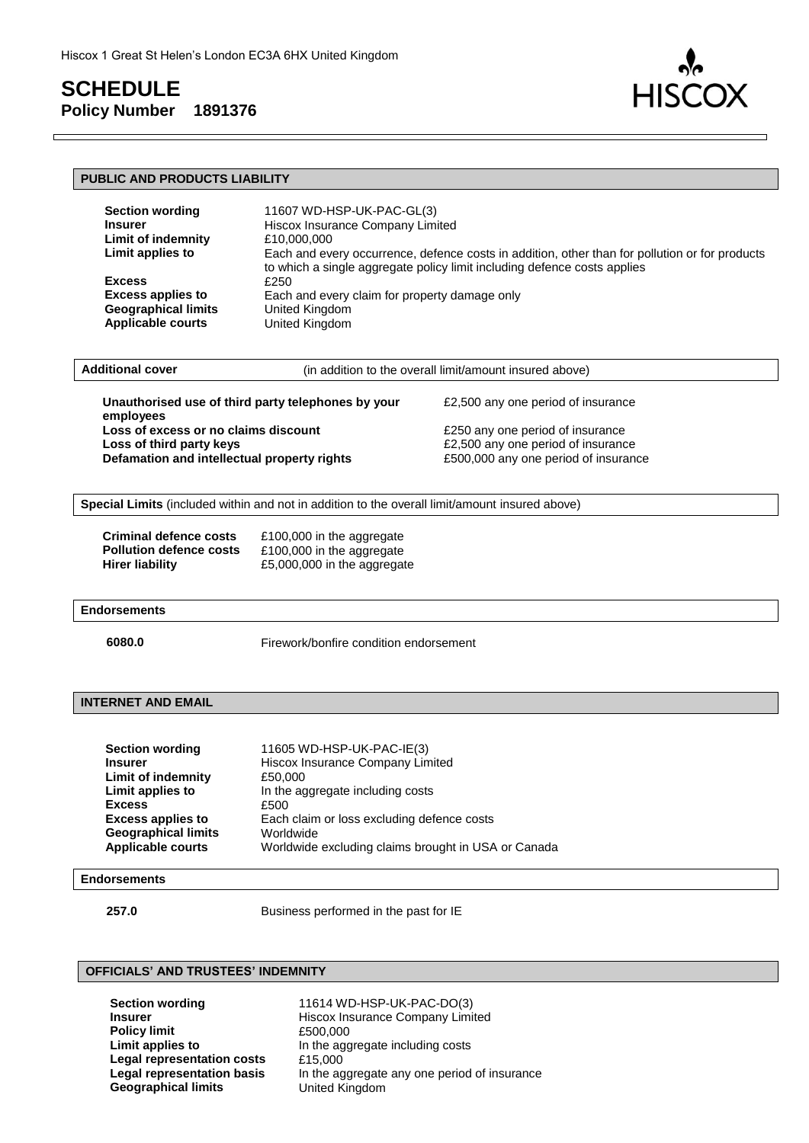

| <b>PUBLIC AND PRODUCTS LIABILITY</b>                                                                                                                                                                                                                                                                                                       |                                                                                                                                                                                                                                        |                                                                                                                                                                            |
|--------------------------------------------------------------------------------------------------------------------------------------------------------------------------------------------------------------------------------------------------------------------------------------------------------------------------------------------|----------------------------------------------------------------------------------------------------------------------------------------------------------------------------------------------------------------------------------------|----------------------------------------------------------------------------------------------------------------------------------------------------------------------------|
| <b>Section wording</b><br><b>Insurer</b><br><b>Limit of indemnity</b><br>Limit applies to<br><b>Excess</b><br><b>Excess applies to</b><br><b>Geographical limits</b><br><b>Applicable courts</b>                                                                                                                                           | 11607 WD-HSP-UK-PAC-GL(3)<br>Hiscox Insurance Company Limited<br>£10,000,000<br>£250<br>Each and every claim for property damage only<br>United Kingdom<br><b>United Kingdom</b>                                                       | Each and every occurrence, defence costs in addition, other than for pollution or for products<br>to which a single aggregate policy limit including defence costs applies |
| <b>Additional cover</b>                                                                                                                                                                                                                                                                                                                    | (in addition to the overall limit/amount insured above)                                                                                                                                                                                |                                                                                                                                                                            |
| Unauthorised use of third party telephones by your<br>£2,500 any one period of insurance<br>employees<br>Loss of excess or no claims discount<br>£250 any one period of insurance<br>Loss of third party keys<br>£2,500 any one period of insurance<br>Defamation and intellectual property rights<br>£500,000 any one period of insurance |                                                                                                                                                                                                                                        |                                                                                                                                                                            |
| Special Limits (included within and not in addition to the overall limit/amount insured above)<br>Criminal defence costs                                                                                                                                                                                                                   |                                                                                                                                                                                                                                        |                                                                                                                                                                            |
| <b>Pollution defence costs</b><br><b>Hirer liability</b>                                                                                                                                                                                                                                                                                   | £100,000 in the aggregate<br>£100,000 in the aggregate<br>£5,000,000 in the aggregate                                                                                                                                                  |                                                                                                                                                                            |
| <b>Endorsements</b>                                                                                                                                                                                                                                                                                                                        |                                                                                                                                                                                                                                        |                                                                                                                                                                            |
| 6080.0                                                                                                                                                                                                                                                                                                                                     | Firework/bonfire condition endorsement                                                                                                                                                                                                 |                                                                                                                                                                            |
| <b>INTERNET AND EMAIL</b>                                                                                                                                                                                                                                                                                                                  |                                                                                                                                                                                                                                        |                                                                                                                                                                            |
| <b>Section wording</b><br>Insurer<br><b>Limit of indemnity</b><br><b>Limit applies to</b><br><b>Excess</b><br><b>Excess applies to</b><br><b>Geographical limits</b><br><b>Applicable courts</b>                                                                                                                                           | 11605 WD-HSP-UK-PAC-IE(3)<br>Hiscox Insurance Company Limited<br>£50,000<br>In the aggregate including costs<br>£500<br>Each claim or loss excluding defence costs<br>Worldwide<br>Worldwide excluding claims brought in USA or Canada |                                                                                                                                                                            |
| <b>Endorsements</b>                                                                                                                                                                                                                                                                                                                        |                                                                                                                                                                                                                                        |                                                                                                                                                                            |
| 257.0                                                                                                                                                                                                                                                                                                                                      | Business performed in the past for IE                                                                                                                                                                                                  |                                                                                                                                                                            |
| <b>OFFICIALS' AND TRUSTEES' INDEMNITY</b>                                                                                                                                                                                                                                                                                                  |                                                                                                                                                                                                                                        |                                                                                                                                                                            |

#### **OFFICIALS' AND TRUSTEES' INDEMNITY**

**Policy limit**<br>Limit applies to Legal representation costs £15,000 **Geographical limits** 

**Section wording** 11614 WD-HSP-UK-PAC-DO(3)<br>Insurer Hiscox Insurance Company Limit **Hiscox Insurance Company Limited**<br>£500,000 In the aggregate including costs **Legal representation basis** In the aggregate any one period of insurance **Geographical limits** United Kingdom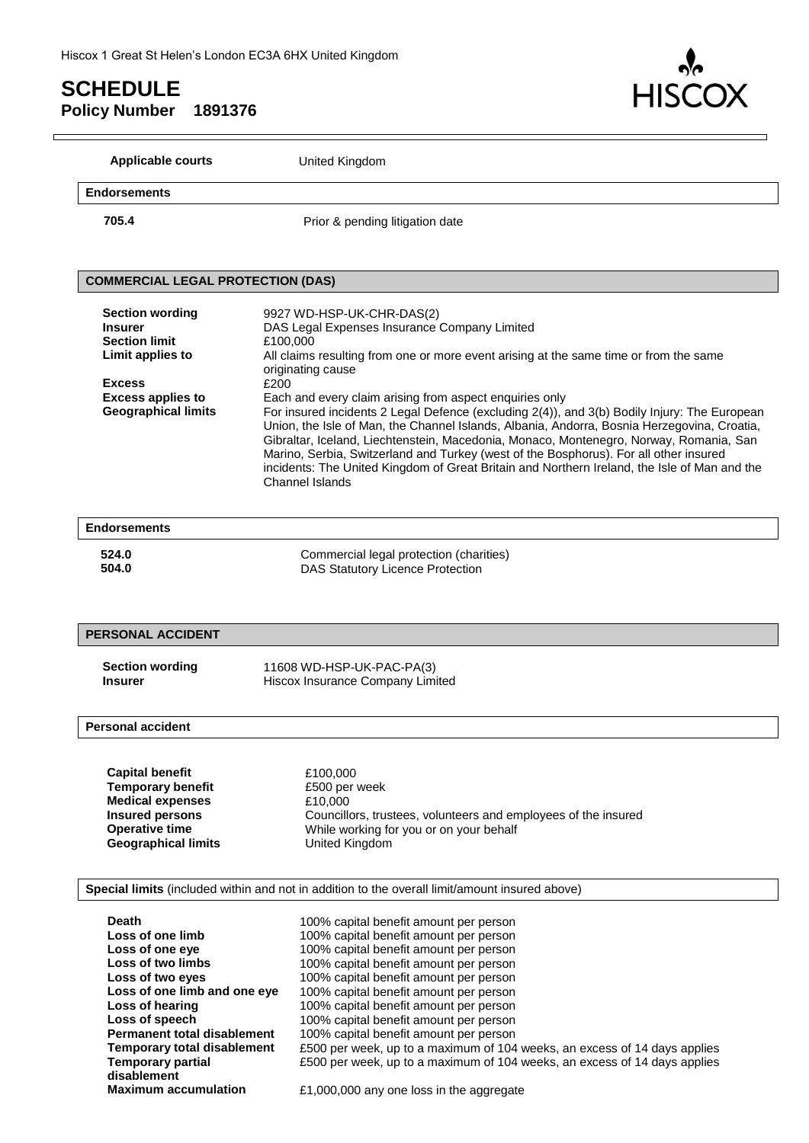

| <b>Applicable courts</b>                 | United Kingdom                                                                                 |
|------------------------------------------|------------------------------------------------------------------------------------------------|
| Endorsements                             |                                                                                                |
| 705.4                                    | Prior & pending litigation date                                                                |
| <b>COMMERCIAL LEGAL PROTECTION (DAS)</b> |                                                                                                |
|                                          |                                                                                                |
| <b>Section wording</b>                   | 9927 WD-HSP-UK-CHR-DAS(2)                                                                      |
| <b>Insurer</b>                           | DAS Legal Expenses Insurance Company Limited                                                   |
| <b>Section limit</b>                     | £100,000                                                                                       |
| Limit applies to                         | All claims resulting from one or more event arising at the same time or from the same          |
|                                          | originating cause                                                                              |
| <b>Excess</b>                            | £200                                                                                           |
| <b>Excess applies to</b>                 | Each and every claim arising from aspect enquiries only                                        |
| <b>Geographical limits</b>               | For insured incidents 2 Legal Defence (excluding 2(4)), and 3(b) Bodily Injury: The European   |
|                                          | Union, the Isle of Man, the Channel Islands, Albania, Andorra, Bosnia Herzegovina, Croatia,    |
|                                          | Gibraltar, Iceland, Liechtenstein, Macedonia, Monaco, Montenegro, Norway, Romania, San         |
|                                          | Marino, Serbia, Switzerland and Turkey (west of the Bosphorus). For all other insured          |
|                                          | incidents: The United Kingdom of Great Britain and Northern Ireland, the Isle of Man and the   |
|                                          | <b>Channel Islands</b>                                                                         |
|                                          |                                                                                                |
| <b>Endorsements</b>                      |                                                                                                |
| 524.0                                    | Commercial legal protection (charities)                                                        |
| 504.0                                    | <b>DAS Statutory Licence Protection</b>                                                        |
| <b>PERSONAL ACCIDENT</b>                 |                                                                                                |
|                                          |                                                                                                |
| <b>Section wording</b><br><b>Insurer</b> | 11608 WD-HSP-UK-PAC-PA(3)<br>Hiscox Insurance Company Limited                                  |
|                                          |                                                                                                |
| <b>Personal accident</b>                 |                                                                                                |
|                                          |                                                                                                |
| <b>Capital benefit</b>                   | £100,000                                                                                       |
| <b>Temporary benefit</b>                 | £500 per week                                                                                  |
| <b>Medical expenses</b>                  | £10,000                                                                                        |
| <b>Insured persons</b>                   | Councillors, trustees, volunteers and employees of the insured                                 |
| <b>Operative time</b>                    | While working for you or on your behalf                                                        |
| <b>Geographical limits</b>               | United Kingdom                                                                                 |
|                                          |                                                                                                |
|                                          |                                                                                                |
|                                          | Special limits (included within and not in addition to the overall limit/amount insured above) |
| <b>Death</b>                             | 100% capital benefit amount per person                                                         |
| Loss of one limb                         |                                                                                                |
| Loss of one eye                          | 100% capital benefit amount per person                                                         |
| Loss of two limbs                        | 100% capital benefit amount per person<br>100% capital benefit amount per person               |
| Loss of two eyes                         | 100% capital benefit amount per person                                                         |
| Loss of one limb and one eye             | 100% capital benefit amount per person                                                         |

**Loss of speech** 100% capital benefit amount per person<br>**Permanent total disablement** 100% capital benefit amount per person **Permanent total disablement** 100% capital benefit amount per person<br>**Temporary total disablement** £500 per week, up to a maximum of 104 £500 per week, up to a maximum of 104 weeks, an excess of 14 days applies £500 per week, up to a maximum of 104 weeks, an excess of 14 days applies

£1,000,000 any one loss in the aggregate

**Loss of hearing** 100% capital benefit amount per person<br> **Loss of speech** 100% capital benefit amount per person

**Temporary partial** 

**disablement**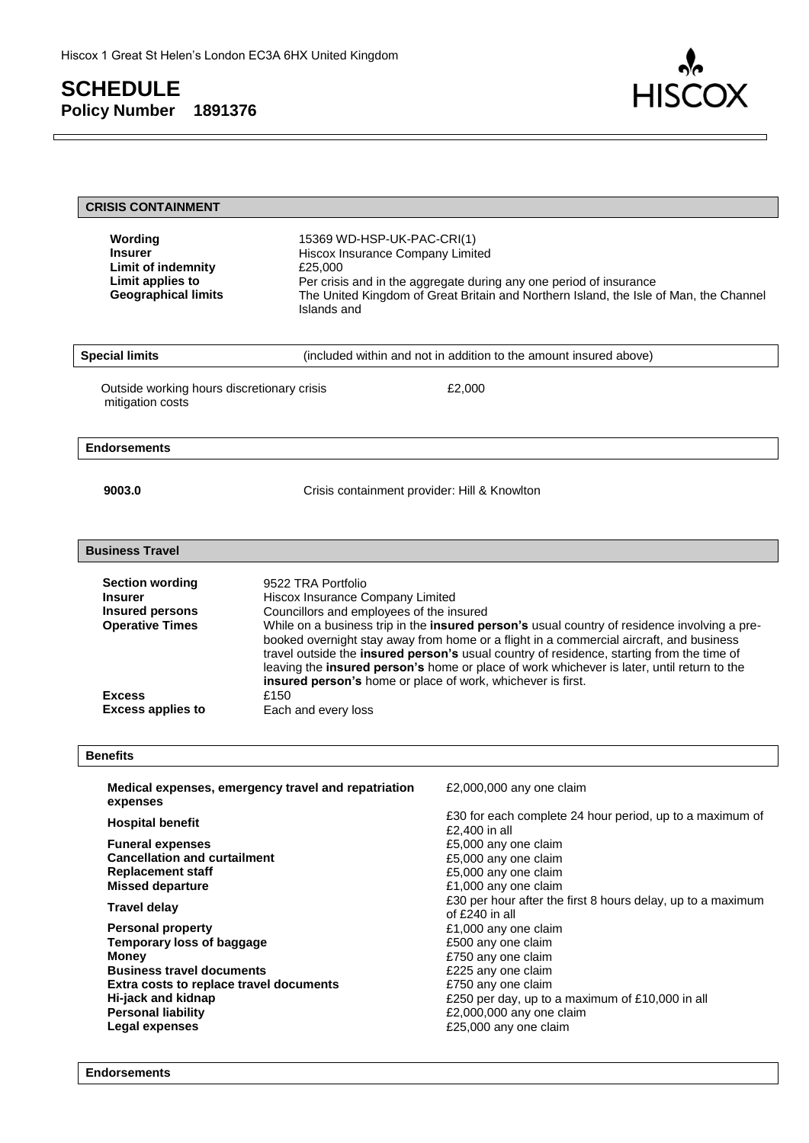$\Box$ 



| <b>CRISIS CONTAINMENT</b>                                                                                                                                                                                                                                                                                                                                                                                          |                                                                                                                                                                                                  |                                                                                                                                                                                                                                                                                                                                                                                                                                                                                    |
|--------------------------------------------------------------------------------------------------------------------------------------------------------------------------------------------------------------------------------------------------------------------------------------------------------------------------------------------------------------------------------------------------------------------|--------------------------------------------------------------------------------------------------------------------------------------------------------------------------------------------------|------------------------------------------------------------------------------------------------------------------------------------------------------------------------------------------------------------------------------------------------------------------------------------------------------------------------------------------------------------------------------------------------------------------------------------------------------------------------------------|
| Wording<br><b>Insurer</b><br>Limit of indemnity<br>Limit applies to<br><b>Geographical limits</b>                                                                                                                                                                                                                                                                                                                  | 15369 WD-HSP-UK-PAC-CRI(1)<br>Hiscox Insurance Company Limited<br>£25,000<br>Islands and                                                                                                         | Per crisis and in the aggregate during any one period of insurance<br>The United Kingdom of Great Britain and Northern Island, the Isle of Man, the Channel                                                                                                                                                                                                                                                                                                                        |
| <b>Special limits</b>                                                                                                                                                                                                                                                                                                                                                                                              |                                                                                                                                                                                                  | (included within and not in addition to the amount insured above)                                                                                                                                                                                                                                                                                                                                                                                                                  |
| Outside working hours discretionary crisis<br>mitigation costs                                                                                                                                                                                                                                                                                                                                                     |                                                                                                                                                                                                  | £2,000                                                                                                                                                                                                                                                                                                                                                                                                                                                                             |
| <b>Endorsements</b>                                                                                                                                                                                                                                                                                                                                                                                                |                                                                                                                                                                                                  |                                                                                                                                                                                                                                                                                                                                                                                                                                                                                    |
| 9003.0                                                                                                                                                                                                                                                                                                                                                                                                             | Crisis containment provider: Hill & Knowlton                                                                                                                                                     |                                                                                                                                                                                                                                                                                                                                                                                                                                                                                    |
| <b>Business Travel</b>                                                                                                                                                                                                                                                                                                                                                                                             |                                                                                                                                                                                                  |                                                                                                                                                                                                                                                                                                                                                                                                                                                                                    |
| <b>Section wording</b><br><b>Insurer</b><br><b>Insured persons</b><br><b>Operative Times</b><br><b>Excess</b><br><b>Excess applies to</b>                                                                                                                                                                                                                                                                          | 9522 TRA Portfolio<br>Hiscox Insurance Company Limited<br>Councillors and employees of the insured<br>insured person's home or place of work, whichever is first.<br>£150<br>Each and every loss | While on a business trip in the insured person's usual country of residence involving a pre-<br>booked overnight stay away from home or a flight in a commercial aircraft, and business<br>travel outside the insured person's usual country of residence, starting from the time of<br>leaving the insured person's home or place of work whichever is later, until return to the                                                                                                 |
| <b>Benefits</b>                                                                                                                                                                                                                                                                                                                                                                                                    |                                                                                                                                                                                                  |                                                                                                                                                                                                                                                                                                                                                                                                                                                                                    |
| expenses                                                                                                                                                                                                                                                                                                                                                                                                           | Medical expenses, emergency travel and repatriation                                                                                                                                              | £2,000,000 any one claim                                                                                                                                                                                                                                                                                                                                                                                                                                                           |
| <b>Hospital benefit</b><br><b>Funeral expenses</b><br><b>Cancellation and curtailment</b><br><b>Replacement staff</b><br><b>Missed departure</b><br><b>Travel delay</b><br><b>Personal property</b><br><b>Temporary loss of baggage</b><br><b>Money</b><br><b>Business travel documents</b><br>Extra costs to replace travel documents<br>Hi-jack and kidnap<br><b>Personal liability</b><br><b>Legal expenses</b> |                                                                                                                                                                                                  | £30 for each complete 24 hour period, up to a maximum of<br>£2,400 in all<br>£5,000 any one claim<br>£5,000 any one claim<br>£5,000 any one claim<br>£1,000 any one claim<br>£30 per hour after the first 8 hours delay, up to a maximum<br>of £240 in all<br>£1,000 any one claim<br>£500 any one claim<br>£750 any one claim<br>£225 any one claim<br>£750 any one claim<br>£250 per day, up to a maximum of £10,000 in all<br>£2,000,000 any one claim<br>£25,000 any one claim |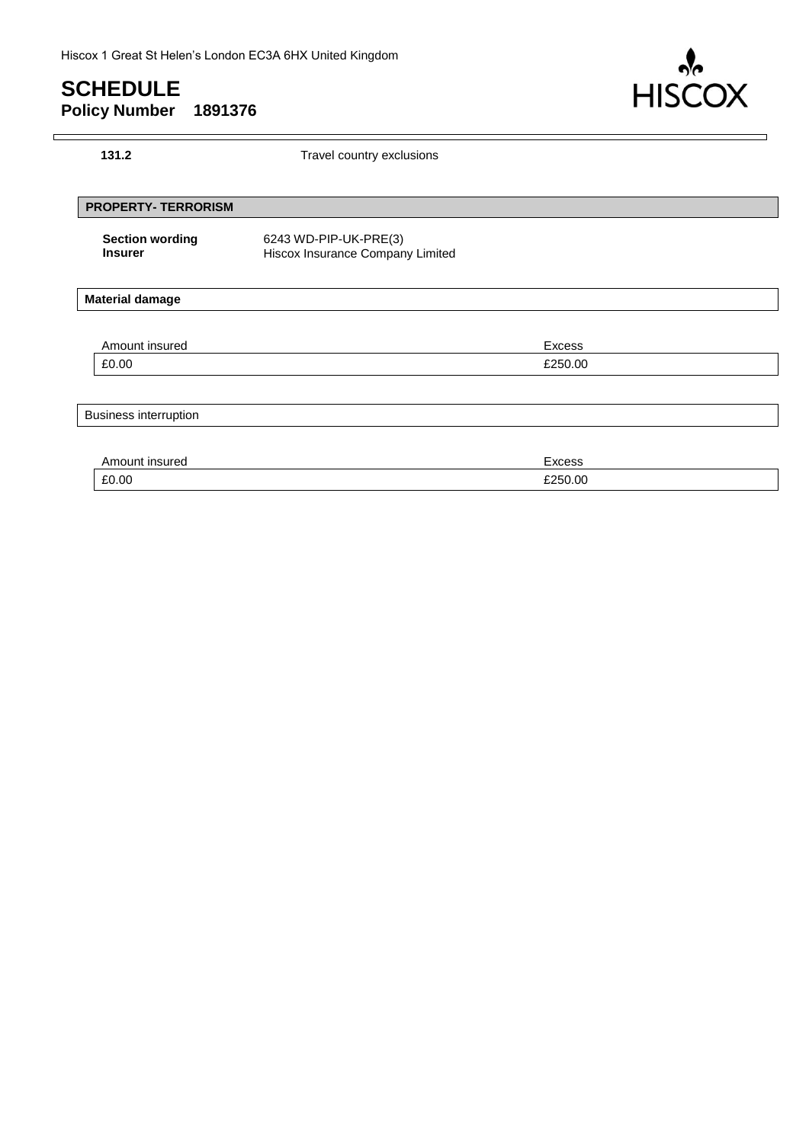$\Gamma$ 



| 131.2                                    | Travel country exclusions                                 |         |  |
|------------------------------------------|-----------------------------------------------------------|---------|--|
| <b>PROPERTY- TERRORISM</b>               |                                                           |         |  |
| <b>Section wording</b><br><b>Insurer</b> | 6243 WD-PIP-UK-PRE(3)<br>Hiscox Insurance Company Limited |         |  |
| <b>Material damage</b>                   |                                                           |         |  |
| Amount insured                           |                                                           | Excess  |  |
| £0.00                                    |                                                           | £250.00 |  |
| <b>Business interruption</b>             |                                                           |         |  |
| Amount insured                           |                                                           | Excess  |  |
| £0.00                                    |                                                           | £250.00 |  |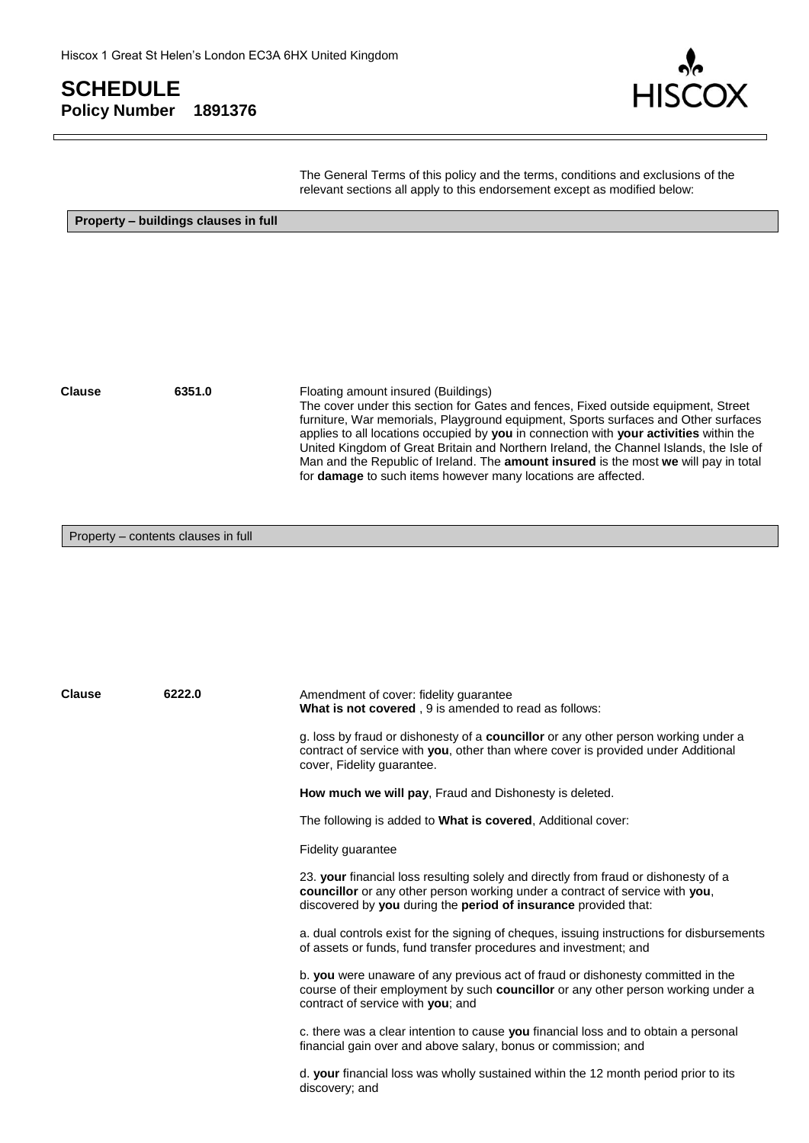

The General Terms of this policy and the terms, conditions and exclusions of the relevant sections all apply to this endorsement except as modified below:

**Property – buildings clauses in full**

**Clause 6351.0** Floating amount insured (Buildings) The cover under this section for Gates and fences, Fixed outside equipment, Street furniture, War memorials, Playground equipment, Sports surfaces and Other surfaces applies to all locations occupied by **you** in connection with **your activities** within the United Kingdom of Great Britain and Northern Ireland, the Channel Islands, the Isle of Man and the Republic of Ireland. The **amount insured** is the most **we** will pay in total for **damage** to such items however many locations are affected.

#### Property – contents clauses in full

**Clause 6222.0** Amendment of cover: fidelity guarantee **What is not covered** , 9 is amended to read as follows: g. loss by fraud or dishonesty of a **councillor** or any other person working under a contract of service with **you**, other than where cover is provided under Additional cover, Fidelity guarantee. **How much we will pay**, Fraud and Dishonesty is deleted. The following is added to **What is covered**, Additional cover: Fidelity guarantee 23. **your** financial loss resulting solely and directly from fraud or dishonesty of a **councillor** or any other person working under a contract of service with **you**, discovered by **you** during the **period of insurance** provided that: a. dual controls exist for the signing of cheques, issuing instructions for disbursements of assets or funds, fund transfer procedures and investment; and b. **you** were unaware of any previous act of fraud or dishonesty committed in the course of their employment by such **councillor** or any other person working under a contract of service with **you**; and c. there was a clear intention to cause **you** financial loss and to obtain a personal financial gain over and above salary, bonus or commission; and d. **your** financial loss was wholly sustained within the 12 month period prior to its discovery; and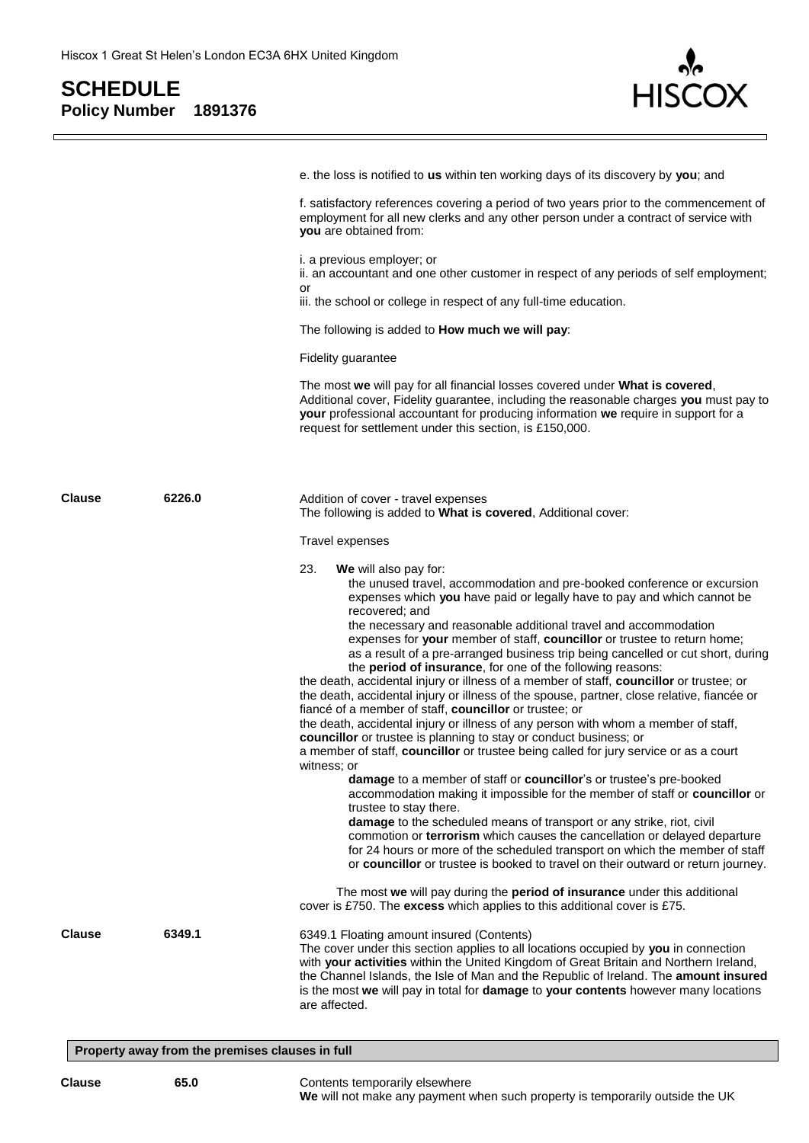

|               |        | e. the loss is notified to us within ten working days of its discovery by you; and                                                                                                                                                                                                                                                                                                                                        |
|---------------|--------|---------------------------------------------------------------------------------------------------------------------------------------------------------------------------------------------------------------------------------------------------------------------------------------------------------------------------------------------------------------------------------------------------------------------------|
|               |        | f. satisfactory references covering a period of two years prior to the commencement of<br>employment for all new clerks and any other person under a contract of service with<br>you are obtained from:                                                                                                                                                                                                                   |
|               |        | i. a previous employer; or<br>ii. an accountant and one other customer in respect of any periods of self employment;                                                                                                                                                                                                                                                                                                      |
|               |        | or<br>iii. the school or college in respect of any full-time education.                                                                                                                                                                                                                                                                                                                                                   |
|               |        | The following is added to How much we will pay:                                                                                                                                                                                                                                                                                                                                                                           |
|               |        | <b>Fidelity guarantee</b>                                                                                                                                                                                                                                                                                                                                                                                                 |
|               |        | The most we will pay for all financial losses covered under What is covered,<br>Additional cover, Fidelity guarantee, including the reasonable charges you must pay to<br>your professional accountant for producing information we require in support for a<br>request for settlement under this section, is £150,000.                                                                                                   |
| <b>Clause</b> | 6226.0 | Addition of cover - travel expenses<br>The following is added to <b>What is covered</b> , Additional cover:                                                                                                                                                                                                                                                                                                               |
|               |        | Travel expenses                                                                                                                                                                                                                                                                                                                                                                                                           |
|               |        | 23.<br>We will also pay for:<br>the unused travel, accommodation and pre-booked conference or excursion<br>expenses which you have paid or legally have to pay and which cannot be<br>recovered; and                                                                                                                                                                                                                      |
|               |        | the necessary and reasonable additional travel and accommodation<br>expenses for your member of staff, councillor or trustee to return home;<br>as a result of a pre-arranged business trip being cancelled or cut short, during<br>the period of insurance, for one of the following reasons:<br>the death, accidental injury or illness of a member of staff, councillor or trustee; or                                 |
|               |        | the death, accidental injury or illness of the spouse, partner, close relative, fiancée or<br>fiancé of a member of staff, councillor or trustee; or                                                                                                                                                                                                                                                                      |
|               |        | the death, accidental injury or illness of any person with whom a member of staff,<br>councillor or trustee is planning to stay or conduct business; or<br>a member of staff, councillor or trustee being called for jury service or as a court                                                                                                                                                                           |
|               |        | witness; or<br>damage to a member of staff or councillor's or trustee's pre-booked<br>accommodation making it impossible for the member of staff or councillor or<br>trustee to stay there.                                                                                                                                                                                                                               |
|               |        | damage to the scheduled means of transport or any strike, riot, civil<br>commotion or terrorism which causes the cancellation or delayed departure<br>for 24 hours or more of the scheduled transport on which the member of staff<br>or councillor or trustee is booked to travel on their outward or return journey.                                                                                                    |
|               |        | The most we will pay during the period of insurance under this additional<br>cover is £750. The excess which applies to this additional cover is £75.                                                                                                                                                                                                                                                                     |
| <b>Clause</b> | 6349.1 | 6349.1 Floating amount insured (Contents)<br>The cover under this section applies to all locations occupied by you in connection<br>with your activities within the United Kingdom of Great Britain and Northern Ireland,<br>the Channel Islands, the Isle of Man and the Republic of Ireland. The amount insured<br>is the most we will pay in total for damage to your contents however many locations<br>are affected. |
|               |        | Property away from the premises clauses in full                                                                                                                                                                                                                                                                                                                                                                           |

#### **Clause 65.0** Contents temporarily elsewhere **We** will not make any payment when such property is temporarily outside the UK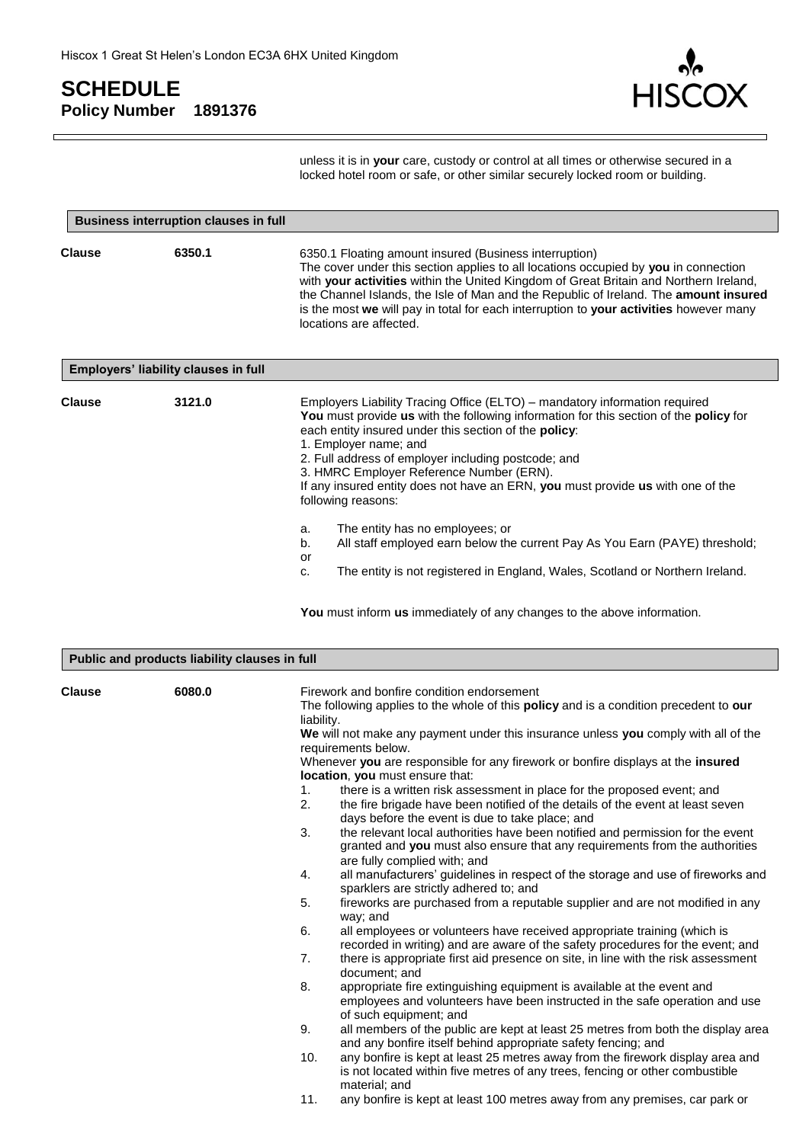

unless it is in **your** care, custody or control at all times or otherwise secured in a locked hotel room or safe, or other similar securely locked room or building.

|               | <b>Business interruption clauses in full</b>  |                                                                                                                                                                                                                                                                                                                                                                                                                                                                   |  |
|---------------|-----------------------------------------------|-------------------------------------------------------------------------------------------------------------------------------------------------------------------------------------------------------------------------------------------------------------------------------------------------------------------------------------------------------------------------------------------------------------------------------------------------------------------|--|
| <b>Clause</b> | 6350.1                                        | 6350.1 Floating amount insured (Business interruption)<br>The cover under this section applies to all locations occupied by you in connection<br>with your activities within the United Kingdom of Great Britain and Northern Ireland,<br>the Channel Islands, the Isle of Man and the Republic of Ireland. The amount insured<br>is the most we will pay in total for each interruption to your activities however many<br>locations are affected.               |  |
|               | Employers' liability clauses in full          |                                                                                                                                                                                                                                                                                                                                                                                                                                                                   |  |
| <b>Clause</b> | 3121.0                                        | Employers Liability Tracing Office (ELTO) – mandatory information required<br>You must provide us with the following information for this section of the policy for<br>each entity insured under this section of the policy:<br>1. Employer name; and<br>2. Full address of employer including postcode; and<br>3. HMRC Employer Reference Number (ERN).<br>If any insured entity does not have an ERN, you must provide us with one of the<br>following reasons: |  |
|               |                                               | The entity has no employees; or<br>a.<br>All staff employed earn below the current Pay As You Earn (PAYE) threshold;<br>b.                                                                                                                                                                                                                                                                                                                                        |  |
|               |                                               | or<br>The entity is not registered in England, Wales, Scotland or Northern Ireland.<br>c.                                                                                                                                                                                                                                                                                                                                                                         |  |
|               |                                               | You must inform us immediately of any changes to the above information.                                                                                                                                                                                                                                                                                                                                                                                           |  |
|               | Public and products liability clauses in full |                                                                                                                                                                                                                                                                                                                                                                                                                                                                   |  |
| <b>Clause</b> | 6080.0                                        | Firework and bonfire condition endorsement<br>The following applies to the whole of this <b>policy</b> and is a condition precedent to <b>our</b><br>liability.<br>We will not make any nayment under this insurance unless you comply with all of the                                                                                                                                                                                                            |  |

**We** will not make any payment under this insurance unless **you** comply with all of the requirements below.

Whenever **you** are responsible for any firework or bonfire displays at the **insured location**, **you** must ensure that:

- 1. there is a written risk assessment in place for the proposed event; and
- 2. the fire brigade have been notified of the details of the event at least seven days before the event is due to take place; and
- 3. the relevant local authorities have been notified and permission for the event granted and **you** must also ensure that any requirements from the authorities are fully complied with; and
- 4. all manufacturers' guidelines in respect of the storage and use of fireworks and sparklers are strictly adhered to; and
- 5. fireworks are purchased from a reputable supplier and are not modified in any way; and
- 6. all employees or volunteers have received appropriate training (which is recorded in writing) and are aware of the safety procedures for the event; and
- 7. there is appropriate first aid presence on site, in line with the risk assessment document; and
- 8. appropriate fire extinguishing equipment is available at the event and employees and volunteers have been instructed in the safe operation and use of such equipment; and
- 9. all members of the public are kept at least 25 metres from both the display area and any bonfire itself behind appropriate safety fencing; and
- 10. any bonfire is kept at least 25 metres away from the firework display area and is not located within five metres of any trees, fencing or other combustible material; and
- 11. any bonfire is kept at least 100 metres away from any premises, car park or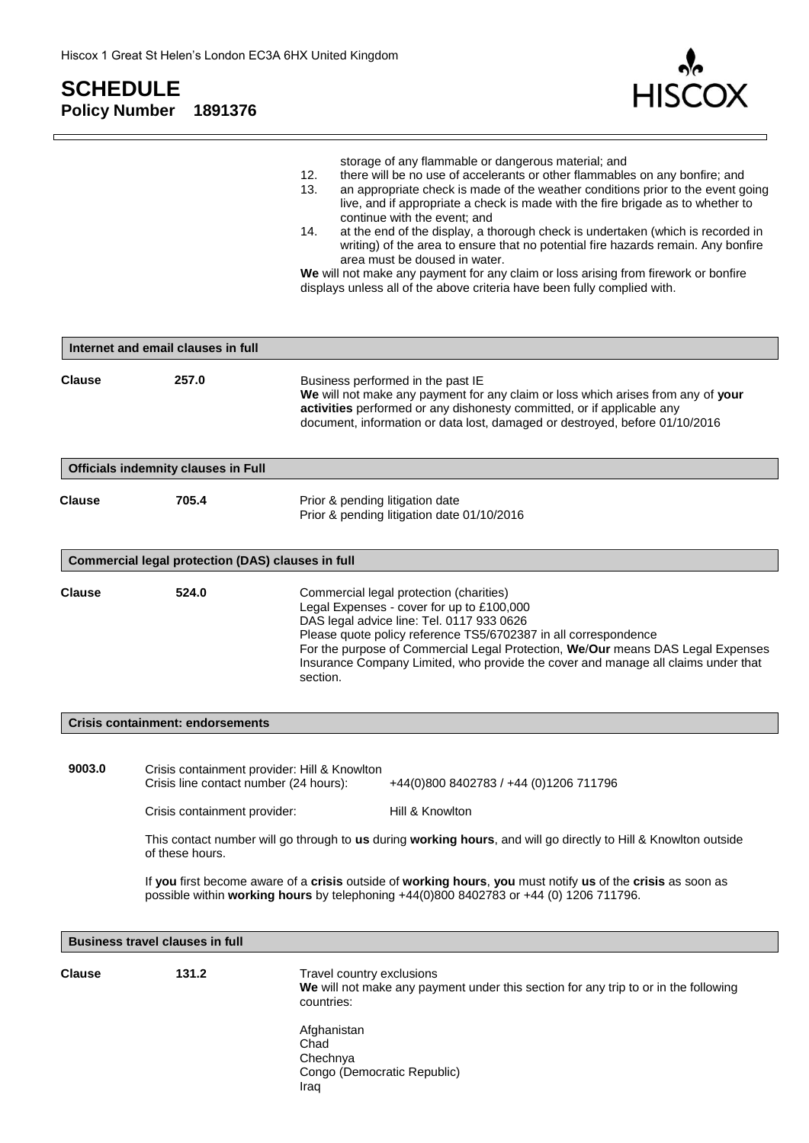$\Box$ 



 $\Box$ 

|               |                                                                                                                                           | storage of any flammable or dangerous material; and<br>there will be no use of accelerants or other flammables on any bonfire; and<br>12.<br>13.<br>an appropriate check is made of the weather conditions prior to the event going<br>live, and if appropriate a check is made with the fire brigade as to whether to<br>continue with the event; and<br>at the end of the display, a thorough check is undertaken (which is recorded in<br>14.<br>writing) of the area to ensure that no potential fire hazards remain. Any bonfire<br>area must be doused in water.<br>We will not make any payment for any claim or loss arising from firework or bonfire<br>displays unless all of the above criteria have been fully complied with. |
|---------------|-------------------------------------------------------------------------------------------------------------------------------------------|-------------------------------------------------------------------------------------------------------------------------------------------------------------------------------------------------------------------------------------------------------------------------------------------------------------------------------------------------------------------------------------------------------------------------------------------------------------------------------------------------------------------------------------------------------------------------------------------------------------------------------------------------------------------------------------------------------------------------------------------|
|               | Internet and email clauses in full                                                                                                        |                                                                                                                                                                                                                                                                                                                                                                                                                                                                                                                                                                                                                                                                                                                                           |
| <b>Clause</b> | 257.0                                                                                                                                     | Business performed in the past IE<br>We will not make any payment for any claim or loss which arises from any of your<br>activities performed or any dishonesty committed, or if applicable any<br>document, information or data lost, damaged or destroyed, before 01/10/2016                                                                                                                                                                                                                                                                                                                                                                                                                                                            |
|               | <b>Officials indemnity clauses in Full</b>                                                                                                |                                                                                                                                                                                                                                                                                                                                                                                                                                                                                                                                                                                                                                                                                                                                           |
| <b>Clause</b> | 705.4                                                                                                                                     | Prior & pending litigation date<br>Prior & pending litigation date 01/10/2016                                                                                                                                                                                                                                                                                                                                                                                                                                                                                                                                                                                                                                                             |
|               | Commercial legal protection (DAS) clauses in full                                                                                         |                                                                                                                                                                                                                                                                                                                                                                                                                                                                                                                                                                                                                                                                                                                                           |
| <b>Clause</b> | 524.0                                                                                                                                     | Commercial legal protection (charities)<br>Legal Expenses - cover for up to £100,000<br>DAS legal advice line: Tel. 0117 933 0626<br>Please quote policy reference TS5/6702387 in all correspondence<br>For the purpose of Commercial Legal Protection, We/Our means DAS Legal Expenses<br>Insurance Company Limited, who provide the cover and manage all claims under that<br>section.                                                                                                                                                                                                                                                                                                                                                  |
|               | <b>Crisis containment: endorsements</b>                                                                                                   |                                                                                                                                                                                                                                                                                                                                                                                                                                                                                                                                                                                                                                                                                                                                           |
| 9003.0        | Crisis containment provider: Hill & Knowlton<br>Crisis line contact number (24 hours):<br>Crisis containment provider:<br>of these hours. | +44(0)800 8402783 / +44 (0)1206 711796<br>Hill & Knowlton<br>This contact number will go through to us during working hours, and will go directly to Hill & Knowlton outside<br>If you first become aware of a crisis outside of working hours, you must notify us of the crisis as soon as                                                                                                                                                                                                                                                                                                                                                                                                                                               |
|               |                                                                                                                                           | possible within working hours by telephoning +44(0)800 8402783 or +44 (0) 1206 711796.                                                                                                                                                                                                                                                                                                                                                                                                                                                                                                                                                                                                                                                    |
|               | <b>Business travel clauses in full</b>                                                                                                    |                                                                                                                                                                                                                                                                                                                                                                                                                                                                                                                                                                                                                                                                                                                                           |
| <b>Clause</b> | 131.2                                                                                                                                     | Travel country exclusions<br>We will not make any payment under this section for any trip to or in the following<br>countries:                                                                                                                                                                                                                                                                                                                                                                                                                                                                                                                                                                                                            |
|               |                                                                                                                                           | Afghanistan<br>Chad<br>Chechnya<br>Congo (Democratic Republic)<br>Iraq                                                                                                                                                                                                                                                                                                                                                                                                                                                                                                                                                                                                                                                                    |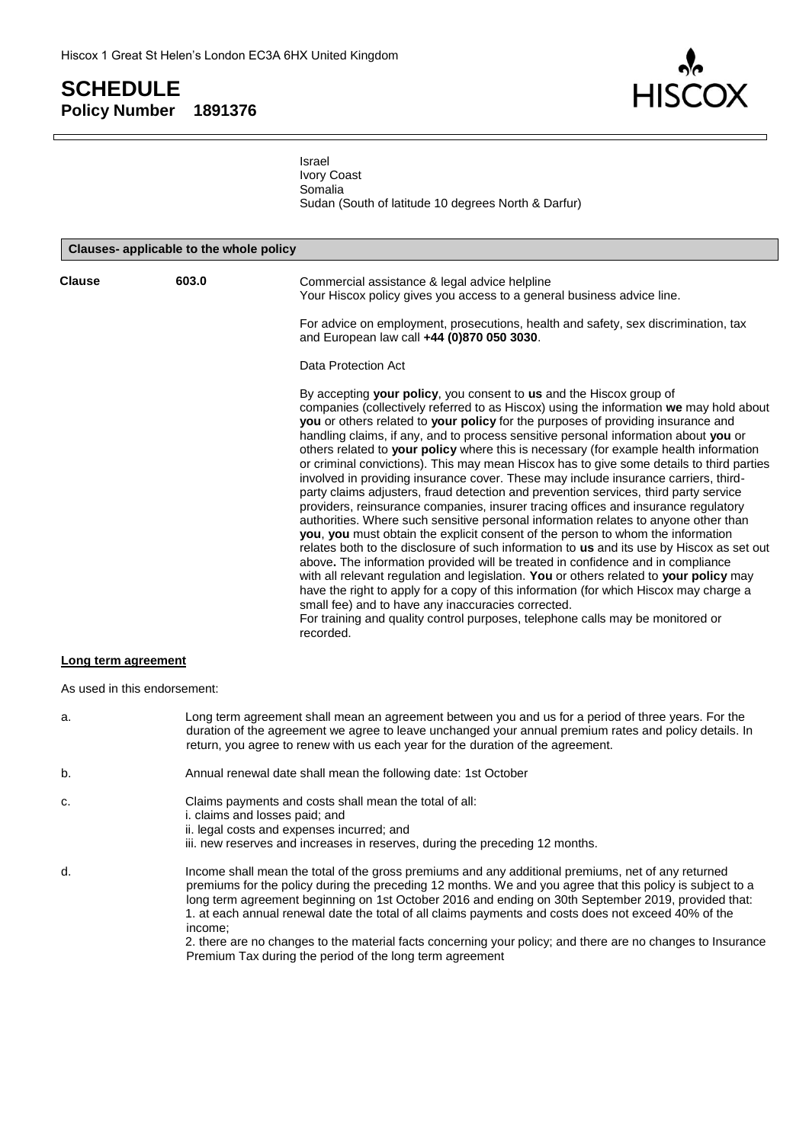

Israel Ivory Coast Somalia Sudan (South of latitude 10 degrees North & Darfur)

| Clauses- applicable to the whole policy |                              |                                                                                                                                                                                                                                                                                                                                                                                                                                                                                                                                                                                                                                                                                                                                                                                                                                                                                                                                                                                                                                                                                                                                                                                                                                                                                                                                                                                                                                                                                                      |
|-----------------------------------------|------------------------------|------------------------------------------------------------------------------------------------------------------------------------------------------------------------------------------------------------------------------------------------------------------------------------------------------------------------------------------------------------------------------------------------------------------------------------------------------------------------------------------------------------------------------------------------------------------------------------------------------------------------------------------------------------------------------------------------------------------------------------------------------------------------------------------------------------------------------------------------------------------------------------------------------------------------------------------------------------------------------------------------------------------------------------------------------------------------------------------------------------------------------------------------------------------------------------------------------------------------------------------------------------------------------------------------------------------------------------------------------------------------------------------------------------------------------------------------------------------------------------------------------|
| <b>Clause</b>                           | 603.0                        | Commercial assistance & legal advice helpline<br>Your Hiscox policy gives you access to a general business advice line.                                                                                                                                                                                                                                                                                                                                                                                                                                                                                                                                                                                                                                                                                                                                                                                                                                                                                                                                                                                                                                                                                                                                                                                                                                                                                                                                                                              |
|                                         |                              | For advice on employment, prosecutions, health and safety, sex discrimination, tax<br>and European law call +44 (0)870 050 3030.                                                                                                                                                                                                                                                                                                                                                                                                                                                                                                                                                                                                                                                                                                                                                                                                                                                                                                                                                                                                                                                                                                                                                                                                                                                                                                                                                                     |
|                                         |                              | Data Protection Act                                                                                                                                                                                                                                                                                                                                                                                                                                                                                                                                                                                                                                                                                                                                                                                                                                                                                                                                                                                                                                                                                                                                                                                                                                                                                                                                                                                                                                                                                  |
|                                         |                              | By accepting your policy, you consent to us and the Hiscox group of<br>companies (collectively referred to as Hiscox) using the information we may hold about<br>you or others related to your policy for the purposes of providing insurance and<br>handling claims, if any, and to process sensitive personal information about you or<br>others related to your policy where this is necessary (for example health information<br>or criminal convictions). This may mean Hiscox has to give some details to third parties<br>involved in providing insurance cover. These may include insurance carriers, third-<br>party claims adjusters, fraud detection and prevention services, third party service<br>providers, reinsurance companies, insurer tracing offices and insurance regulatory<br>authorities. Where such sensitive personal information relates to anyone other than<br>you, you must obtain the explicit consent of the person to whom the information<br>relates both to the disclosure of such information to us and its use by Hiscox as set out<br>above. The information provided will be treated in confidence and in compliance<br>with all relevant regulation and legislation. You or others related to your policy may<br>have the right to apply for a copy of this information (for which Hiscox may charge a<br>small fee) and to have any inaccuracies corrected.<br>For training and quality control purposes, telephone calls may be monitored or<br>recorded. |
| Long term agreement                     |                              |                                                                                                                                                                                                                                                                                                                                                                                                                                                                                                                                                                                                                                                                                                                                                                                                                                                                                                                                                                                                                                                                                                                                                                                                                                                                                                                                                                                                                                                                                                      |
|                                         | As used in this endorsement: |                                                                                                                                                                                                                                                                                                                                                                                                                                                                                                                                                                                                                                                                                                                                                                                                                                                                                                                                                                                                                                                                                                                                                                                                                                                                                                                                                                                                                                                                                                      |
| a.                                      |                              | Long term agreement shall mean an agreement between you and us for a period of three years. For the                                                                                                                                                                                                                                                                                                                                                                                                                                                                                                                                                                                                                                                                                                                                                                                                                                                                                                                                                                                                                                                                                                                                                                                                                                                                                                                                                                                                  |

- b. Annual renewal date shall mean the following date: 1st October
- c. Claims payments and costs shall mean the total of all:
- i. claims and losses paid; and
	- ii. legal costs and expenses incurred; and
		- iii. new reserves and increases in reserves, during the preceding 12 months.

return, you agree to renew with us each year for the duration of the agreement.

d. Income shall mean the total of the gross premiums and any additional premiums, net of any returned premiums for the policy during the preceding 12 months. We and you agree that this policy is subject to a long term agreement beginning on 1st October 2016 and ending on 30th September 2019, provided that: 1. at each annual renewal date the total of all claims payments and costs does not exceed 40% of the income;

2. there are no changes to the material facts concerning your policy; and there are no changes to Insurance Premium Tax during the period of the long term agreement

duration of the agreement we agree to leave unchanged your annual premium rates and policy details. In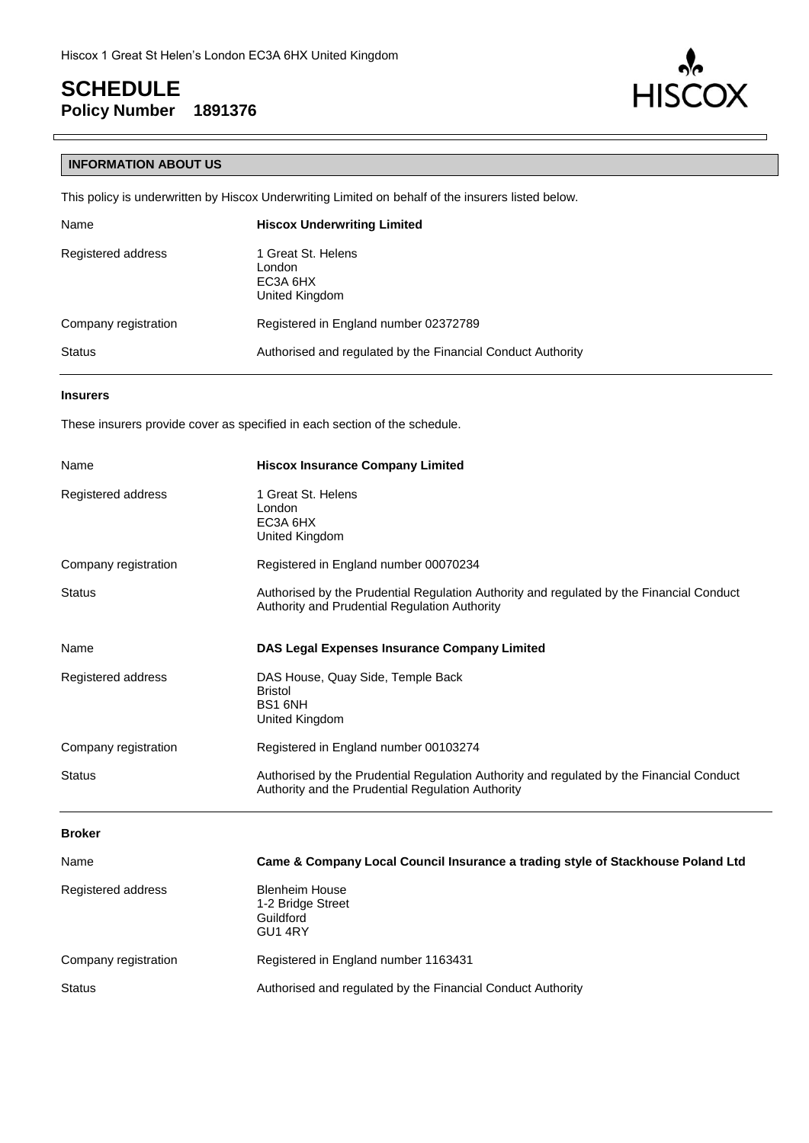

#### **INFORMATION ABOUT US**

This policy is underwritten by Hiscox Underwriting Limited on behalf of the insurers listed below.

| Name                 | <b>Hiscox Underwriting Limited</b>                          |
|----------------------|-------------------------------------------------------------|
| Registered address   | 1 Great St. Helens<br>London<br>EC3A 6HX<br>United Kingdom  |
| Company registration | Registered in England number 02372789                       |
| <b>Status</b>        | Authorised and regulated by the Financial Conduct Authority |

#### **Insurers**

These insurers provide cover as specified in each section of the schedule.

| Name                 | <b>Hiscox Insurance Company Limited</b>                                                                                                       |  |
|----------------------|-----------------------------------------------------------------------------------------------------------------------------------------------|--|
| Registered address   | 1 Great St. Helens<br>London<br>EC3A 6HX<br>United Kingdom                                                                                    |  |
| Company registration | Registered in England number 00070234                                                                                                         |  |
| <b>Status</b>        | Authorised by the Prudential Regulation Authority and regulated by the Financial Conduct<br>Authority and Prudential Regulation Authority     |  |
| Name                 | DAS Legal Expenses Insurance Company Limited                                                                                                  |  |
| Registered address   | DAS House, Quay Side, Temple Back<br><b>Bristol</b><br>BS1 6NH<br>United Kingdom                                                              |  |
| Company registration | Registered in England number 00103274                                                                                                         |  |
| <b>Status</b>        | Authorised by the Prudential Regulation Authority and regulated by the Financial Conduct<br>Authority and the Prudential Regulation Authority |  |
| <b>Broker</b>        |                                                                                                                                               |  |
| Name                 | Came & Company Local Council Insurance a trading style of Stackhouse Poland Ltd                                                               |  |
| Registered address   | <b>Blenheim House</b><br>1-2 Bridge Street<br>Guildford<br>GU1 4RY                                                                            |  |
| Company registration | Registered in England number 1163431                                                                                                          |  |
| <b>Status</b>        | Authorised and regulated by the Financial Conduct Authority                                                                                   |  |